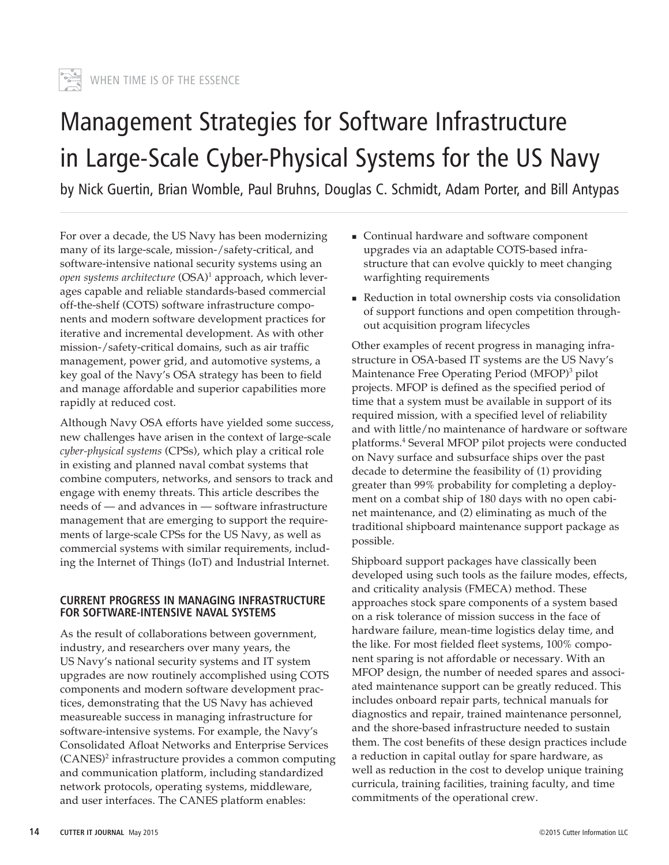

# Management Strategies for Software Infrastructure in Large-Scale Cyber-Physical Systems for the US Navy

by Nick Guertin, Brian Womble, Paul Bruhns, Douglas C. Schmidt, Adam Porter, and Bill Antypas

For over a decade, the US Navy has been modernizing many of its large-scale, mission-/safety-critical, and software-intensive national security systems using an *open systems architecture* (OSA)<sup>1</sup> approach, which leverages capable and reliable standards-based commercial off-the-shelf (COTS) software infrastructure components and modern software development practices for iterative and incremental development. As with other mission-/safety-critical domains, such as air traffic management, power grid, and automotive systems, a key goal of the Navy's OSA strategy has been to field and manage affordable and superior capabilities more rapidly at reduced cost.

Although Navy OSA efforts have yielded some success, new challenges have arisen in the context of large-scale *cyber-physical systems* (CPSs), which play a critical role in existing and planned naval combat systems that combine computers, networks, and sensors to track and engage with enemy threats. This article describes the needs of — and advances in — software infrastructure management that are emerging to support the requirements of large-scale CPSs for the US Navy, as well as commercial systems with similar requirements, including the Internet of Things (IoT) and Industrial Internet.

#### **CURRENT PROGRESS IN MANAGING INFRASTRUCTURE FOR SOFTWARE-INTENSIVE NAVAL SYSTEMS**

As the result of collaborations between government, industry, and researchers over many years, the US Navy's national security systems and IT system upgrades are now routinely accomplished using COTS components and modern software development practices, demonstrating that the US Navy has achieved measureable success in managing infrastructure for software-intensive systems. For example, the Navy's Consolidated Afloat Networks and Enterprise Services (CANES)2 infrastructure provides a common computing and communication platform, including standardized network protocols, operating systems, middleware, and user interfaces. The CANES platform enables:

- Continual hardware and software component upgrades via an adaptable COTS-based infrastructure that can evolve quickly to meet changing warfighting requirements
- Reduction in total ownership costs via consolidation of support functions and open competition throughout acquisition program lifecycles

Other examples of recent progress in managing infrastructure in OSA-based IT systems are the US Navy's Maintenance Free Operating Period (MFOP)<sup>3</sup> pilot projects. MFOP is defined as the specified period of time that a system must be available in support of its required mission, with a specified level of reliability and with little/no maintenance of hardware or software platforms.4 Several MFOP pilot projects were conducted on Navy surface and subsurface ships over the past decade to determine the feasibility of (1) providing greater than 99% probability for completing a deployment on a combat ship of 180 days with no open cabinet maintenance, and (2) eliminating as much of the traditional shipboard maintenance support package as possible.

Shipboard support packages have classically been developed using such tools as the failure modes, effects, and criticality analysis (FMECA) method. These approaches stock spare components of a system based on a risk tolerance of mission success in the face of hardware failure, mean-time logistics delay time, and the like. For most fielded fleet systems, 100% component sparing is not affordable or necessary. With an MFOP design, the number of needed spares and associated maintenance support can be greatly reduced. This includes onboard repair parts, technical manuals for diagnostics and repair, trained maintenance personnel, and the shore-based infrastructure needed to sustain them. The cost benefits of these design practices include a reduction in capital outlay for spare hardware, as well as reduction in the cost to develop unique training curricula, training facilities, training faculty, and time commitments of the operational crew.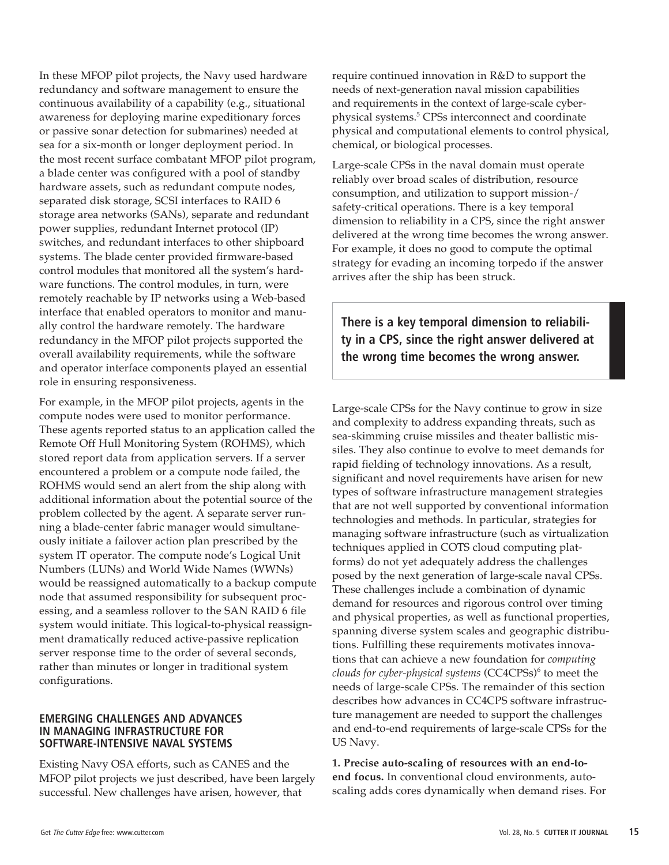In these MFOP pilot projects, the Navy used hardware redundancy and software management to ensure the continuous availability of a capability (e.g., situational awareness for deploying marine expeditionary forces or passive sonar detection for submarines) needed at sea for a six-month or longer deployment period. In the most recent surface combatant MFOP pilot program, a blade center was configured with a pool of standby hardware assets, such as redundant compute nodes, separated disk storage, SCSI interfaces to RAID 6 storage area networks (SANs), separate and redundant power supplies, redundant Internet protocol (IP) switches, and redundant interfaces to other shipboard systems. The blade center provided firmware-based control modules that monitored all the system's hardware functions. The control modules, in turn, were remotely reachable by IP networks using a Web-based interface that enabled operators to monitor and manually control the hardware remotely. The hardware redundancy in the MFOP pilot projects supported the overall availability requirements, while the software and operator interface components played an essential role in ensuring responsiveness.

For example, in the MFOP pilot projects, agents in the compute nodes were used to monitor performance. These agents reported status to an application called the Remote Off Hull Monitoring System (ROHMS), which stored report data from application servers. If a server encountered a problem or a compute node failed, the ROHMS would send an alert from the ship along with additional information about the potential source of the problem collected by the agent. A separate server running a blade-center fabric manager would simultaneously initiate a failover action plan prescribed by the system IT operator. The compute node's Logical Unit Numbers (LUNs) and World Wide Names (WWNs) would be reassigned automatically to a backup compute node that assumed responsibility for subsequent processing, and a seamless rollover to the SAN RAID 6 file system would initiate. This logical-to-physical reassignment dramatically reduced active-passive replication server response time to the order of several seconds, rather than minutes or longer in traditional system configurations.

#### **EMERGING CHALLENGES AND ADVANCES IN MANAGING INFRASTRUCTURE FOR SOFTWARE-INTENSIVE NAVAL SYSTEMS**

Existing Navy OSA efforts, such as CANES and the MFOP pilot projects we just described, have been largely successful. New challenges have arisen, however, that

require continued innovation in R&D to support the needs of next-generation naval mission capabilities and requirements in the context of large-scale cyberphysical systems.5 CPSs interconnect and coordinate physical and computational elements to control physical, chemical, or biological processes.

Large-scale CPSs in the naval domain must operate reliably over broad scales of distribution, resource consumption, and utilization to support mission-/ safety-critical operations. There is a key temporal dimension to reliability in a CPS, since the right answer delivered at the wrong time becomes the wrong answer. For example, it does no good to compute the optimal strategy for evading an incoming torpedo if the answer arrives after the ship has been struck.

**There is a key temporal dimension to reliability in a CPS, since the right answer delivered at the wrong time becomes the wrong answer.** 

Large-scale CPSs for the Navy continue to grow in size and complexity to address expanding threats, such as sea-skimming cruise missiles and theater ballistic missiles. They also continue to evolve to meet demands for rapid fielding of technology innovations. As a result, significant and novel requirements have arisen for new types of software infrastructure management strategies that are not well supported by conventional information technologies and methods. In particular, strategies for managing software infrastructure (such as virtualization techniques applied in COTS cloud computing platforms) do not yet adequately address the challenges posed by the next generation of large-scale naval CPSs. These challenges include a combination of dynamic demand for resources and rigorous control over timing and physical properties, as well as functional properties, spanning diverse system scales and geographic distributions. Fulfilling these requirements motivates innovations that can achieve a new foundation for *computing clouds for cyber-physical systems* (CC4CPSs)<sup>6</sup> to meet the needs of large-scale CPSs. The remainder of this section describes how advances in CC4CPS software infrastructure management are needed to support the challenges and end-to-end requirements of large-scale CPSs for the US Navy.

**1. Precise auto-scaling of resources with an end-toend focus.** In conventional cloud environments, autoscaling adds cores dynamically when demand rises. For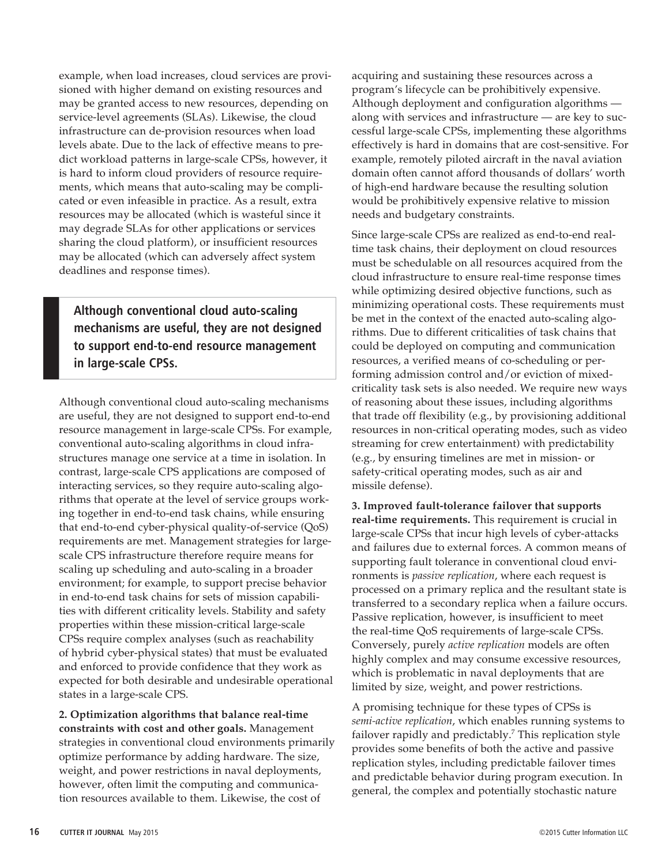example, when load increases, cloud services are provisioned with higher demand on existing resources and may be granted access to new resources, depending on service-level agreements (SLAs). Likewise, the cloud infrastructure can de-provision resources when load levels abate. Due to the lack of effective means to predict workload patterns in large-scale CPSs, however, it is hard to inform cloud providers of resource requirements, which means that auto-scaling may be complicated or even infeasible in practice. As a result, extra resources may be allocated (which is wasteful since it may degrade SLAs for other applications or services sharing the cloud platform), or insufficient resources may be allocated (which can adversely affect system deadlines and response times).

**Although conventional cloud auto-scaling mechanisms are useful, they are not designed to support end-to-end resource management in large-scale CPSs.** 

Although conventional cloud auto-scaling mechanisms are useful, they are not designed to support end-to-end resource management in large-scale CPSs. For example, conventional auto-scaling algorithms in cloud infrastructures manage one service at a time in isolation. In contrast, large-scale CPS applications are composed of interacting services, so they require auto-scaling algorithms that operate at the level of service groups working together in end-to-end task chains, while ensuring that end-to-end cyber-physical quality-of-service (QoS) requirements are met. Management strategies for largescale CPS infrastructure therefore require means for scaling up scheduling and auto-scaling in a broader environment; for example, to support precise behavior in end-to-end task chains for sets of mission capabilities with different criticality levels. Stability and safety properties within these mission-critical large-scale CPSs require complex analyses (such as reachability of hybrid cyber-physical states) that must be evaluated and enforced to provide confidence that they work as expected for both desirable and undesirable operational states in a large-scale CPS.

**2. Optimization algorithms that balance real-time constraints with cost and other goals.** Management strategies in conventional cloud environments primarily optimize performance by adding hardware. The size, weight, and power restrictions in naval deployments, however, often limit the computing and communication resources available to them. Likewise, the cost of

acquiring and sustaining these resources across a program's lifecycle can be prohibitively expensive. Although deployment and configuration algorithms along with services and infrastructure — are key to successful large-scale CPSs, implementing these algorithms effectively is hard in domains that are cost-sensitive. For example, remotely piloted aircraft in the naval aviation domain often cannot afford thousands of dollars' worth of high-end hardware because the resulting solution would be prohibitively expensive relative to mission needs and budgetary constraints.

Since large-scale CPSs are realized as end-to-end realtime task chains, their deployment on cloud resources must be schedulable on all resources acquired from the cloud infrastructure to ensure real-time response times while optimizing desired objective functions, such as minimizing operational costs. These requirements must be met in the context of the enacted auto-scaling algorithms. Due to different criticalities of task chains that could be deployed on computing and communication resources, a verified means of co-scheduling or performing admission control and/or eviction of mixedcriticality task sets is also needed. We require new ways of reasoning about these issues, including algorithms that trade off flexibility (e.g., by provisioning additional resources in non-critical operating modes, such as video streaming for crew entertainment) with predictability (e.g., by ensuring timelines are met in mission- or safety-critical operating modes, such as air and missile defense).

**3. Improved fault-tolerance failover that supports real-time requirements.** This requirement is crucial in large-scale CPSs that incur high levels of cyber-attacks and failures due to external forces. A common means of supporting fault tolerance in conventional cloud environments is *passive replication*, where each request is processed on a primary replica and the resultant state is transferred to a secondary replica when a failure occurs. Passive replication, however, is insufficient to meet the real-time QoS requirements of large-scale CPSs. Conversely, purely *active replication* models are often highly complex and may consume excessive resources, which is problematic in naval deployments that are limited by size, weight, and power restrictions.

A promising technique for these types of CPSs is *semi-active replication*, which enables running systems to failover rapidly and predictably.<sup>7</sup> This replication style provides some benefits of both the active and passive replication styles, including predictable failover times and predictable behavior during program execution. In general, the complex and potentially stochastic nature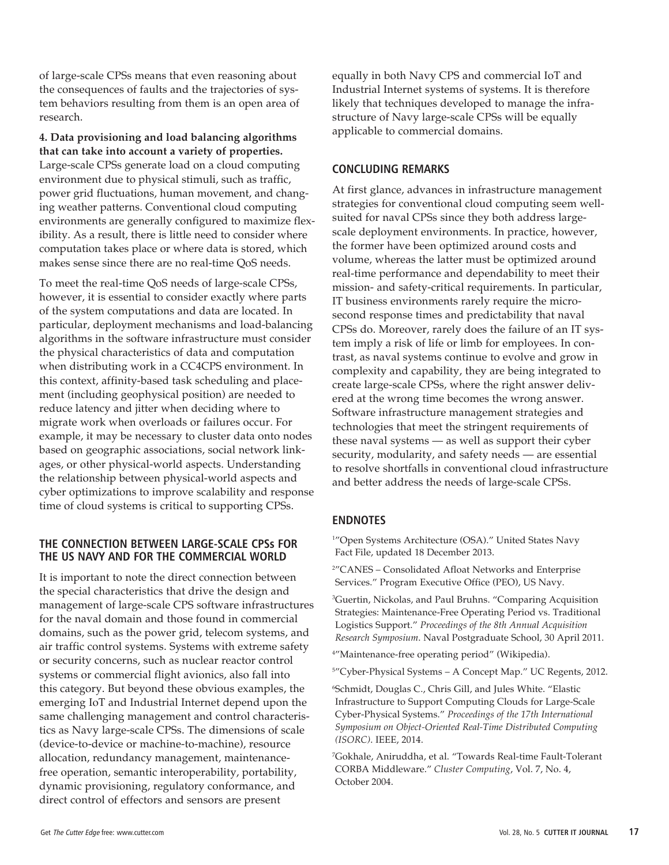of large-scale CPSs means that even reasoning about the consequences of faults and the trajectories of system behaviors resulting from them is an open area of research.

**4. Data provisioning and load balancing algorithms that can take into account a variety of properties.** Large-scale CPSs generate load on a cloud computing environment due to physical stimuli, such as traffic, power grid fluctuations, human movement, and changing weather patterns. Conventional cloud computing environments are generally configured to maximize flexibility. As a result, there is little need to consider where computation takes place or where data is stored, which makes sense since there are no real-time QoS needs.

To meet the real-time QoS needs of large-scale CPSs, however, it is essential to consider exactly where parts of the system computations and data are located. In particular, deployment mechanisms and load-balancing algorithms in the software infrastructure must consider the physical characteristics of data and computation when distributing work in a CC4CPS environment. In this context, affinity-based task scheduling and placement (including geophysical position) are needed to reduce latency and jitter when deciding where to migrate work when overloads or failures occur. For example, it may be necessary to cluster data onto nodes based on geographic associations, social network linkages, or other physical-world aspects. Understanding the relationship between physical-world aspects and cyber optimizations to improve scalability and response time of cloud systems is critical to supporting CPSs.

#### **THE CONNECTION BETWEEN LARGE-SCALE CPSs FOR THE US NAVY AND FOR THE COMMERCIAL WORLD**

It is important to note the direct connection between the special characteristics that drive the design and management of large-scale CPS software infrastructures for the naval domain and those found in commercial domains, such as the power grid, telecom systems, and air traffic control systems. Systems with extreme safety or security concerns, such as nuclear reactor control systems or commercial flight avionics, also fall into this category. But beyond these obvious examples, the emerging IoT and Industrial Internet depend upon the same challenging management and control characteristics as Navy large-scale CPSs. The dimensions of scale (device-to-device or machine-to-machine), resource allocation, redundancy management, maintenancefree operation, semantic interoperability, portability, dynamic provisioning, regulatory conformance, and direct control of effectors and sensors are present

equally in both Navy CPS and commercial IoT and Industrial Internet systems of systems. It is therefore likely that techniques developed to manage the infrastructure of Navy large-scale CPSs will be equally applicable to commercial domains.

### **CONCLUDING REMARKS**

At first glance, advances in infrastructure management strategies for conventional cloud computing seem wellsuited for naval CPSs since they both address largescale deployment environments. In practice, however, the former have been optimized around costs and volume, whereas the latter must be optimized around real-time performance and dependability to meet their mission- and safety-critical requirements. In particular, IT business environments rarely require the microsecond response times and predictability that naval CPSs do. Moreover, rarely does the failure of an IT system imply a risk of life or limb for employees. In contrast, as naval systems continue to evolve and grow in complexity and capability, they are being integrated to create large-scale CPSs, where the right answer delivered at the wrong time becomes the wrong answer. Software infrastructure management strategies and technologies that meet the stringent requirements of these naval systems — as well as support their cyber security, modularity, and safety needs — are essential to resolve shortfalls in conventional cloud infrastructure and better address the needs of large-scale CPSs.

## **ENDNOTES**

1 "Open Systems Architecture (OSA)." United States Navy Fact File, updated 18 December 2013.

2 "CANES – Consolidated Afloat Networks and Enterprise Services." Program Executive Office (PEO), US Navy.

3 Guertin, Nickolas, and Paul Bruhns. "Comparing Acquisition Strategies: Maintenance-Free Operating Period vs. Traditional Logistics Support." *Proceedings of the 8th Annual Acquisition Research Symposium*. Naval Postgraduate School, 30 April 2011.

4 "Maintenance-free operating period" (Wikipedia).

5 "Cyber-Physical Systems – A Concept Map." UC Regents, 2012.

6 Schmidt, Douglas C., Chris Gill, and Jules White. "Elastic Infrastructure to Support Computing Clouds for Large-Scale Cyber-Physical Systems." *Proceedings of the 17th International Symposium on Object-Oriented Real-Time Distributed Computing (ISORC)*. IEEE, 2014.

7 Gokhale, Aniruddha, et al. "Towards Real-time Fault-Tolerant CORBA Middleware." *Cluster Computing*, Vol. 7, No. 4, October 2004.